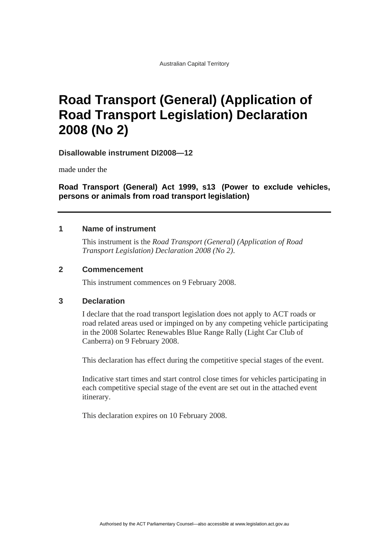# **Road Transport (General) (Application of Road Transport Legislation) Declaration 2008 (No 2)**

**Disallowable instrument DI2008—12**

made under the

**Road Transport (General) Act 1999, s13 (Power to exclude vehicles, persons or animals from road transport legislation)**

### **1 Name of instrument**

This instrument is the *Road Transport (General) (Application of Road Transport Legislation) Declaration 2008 (No 2)*.

### **2 Commencement**

This instrument commences on 9 February 2008.

### **3 Declaration**

I declare that the road transport legislation does not apply to ACT roads or road related areas used or impinged on by any competing vehicle participating in the 2008 Solartec Renewables Blue Range Rally (Light Car Club of Canberra) on 9 February 2008.

This declaration has effect during the competitive special stages of the event.

Indicative start times and start control close times for vehicles participating in each competitive special stage of the event are set out in the attached event itinerary.

This declaration expires on 10 February 2008.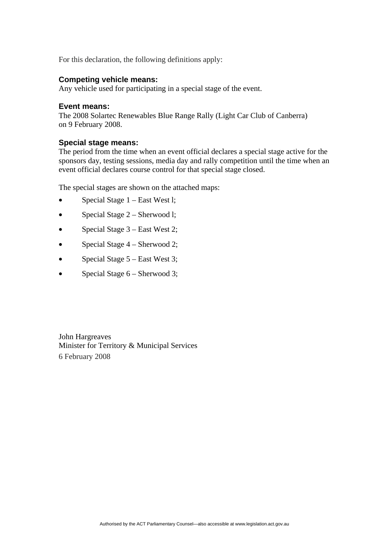For this declaration, the following definitions apply:

### **Competing vehicle means:**

Any vehicle used for participating in a special stage of the event.

#### **Event means:**

The 2008 Solartec Renewables Blue Range Rally (Light Car Club of Canberra) on 9 February 2008.

#### **Special stage means:**

The period from the time when an event official declares a special stage active for the sponsors day, testing sessions, media day and rally competition until the time when an event official declares course control for that special stage closed.

The special stages are shown on the attached maps:

- Special Stage  $1 -$  East West l;
- Special Stage 2 Sherwood l;
- Special Stage 3 East West 2;
- Special Stage 4 Sherwood 2;
- Special Stage 5 East West 3;
- Special Stage 6 Sherwood 3;

John Hargreaves Minister for Territory & Municipal Services 6 February 2008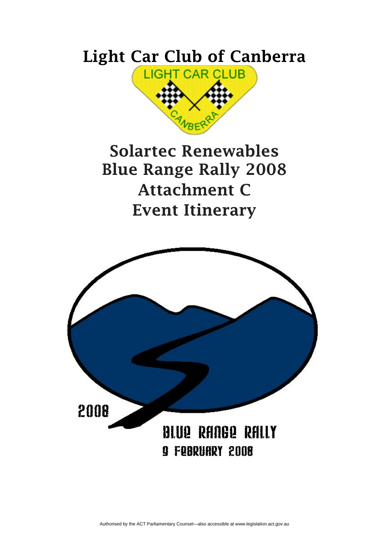# **Light Car Club of Canberra**



# **Solartec Renewables Blue Range Rally 2008 Attachment C Event Itinerary**

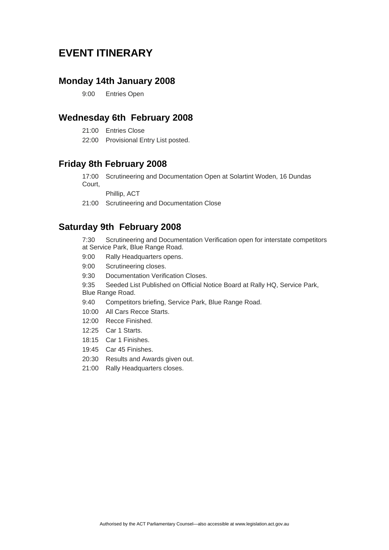### **EVENT ITINERARY**

### **Monday 14th January 2008**

9:00 Entries Open

### **Wednesday 6th February 2008**

- 21:00 Entries Close
- 22:00 Provisional Entry List posted.

### **Friday 8th February 2008**

17:00 Scrutineering and Documentation Open at Solartint Woden, 16 Dundas Court,

Phillip, ACT

21:00 Scrutineering and Documentation Close

### **Saturday 9th February 2008**

7:30 Scrutineering and Documentation Verification open for interstate competitors at Service Park, Blue Range Road.

- 9:00 Rally Headquarters opens.
- 9:00 Scrutineering closes.
- 9:30 Documentation Verification Closes.

9:35 Seeded List Published on Official Notice Board at Rally HQ, Service Park,

Blue Range Road.

- 9:40 Competitors briefing, Service Park, Blue Range Road.
- 10:00 All Cars Recce Starts.
- 12:00 Recce Finished.
- 12:25 Car 1 Starts.
- 18:15 Car 1 Finishes.
- 19:45 Car 45 Finishes.
- 20:30 Results and Awards given out.
- 21:00 Rally Headquarters closes.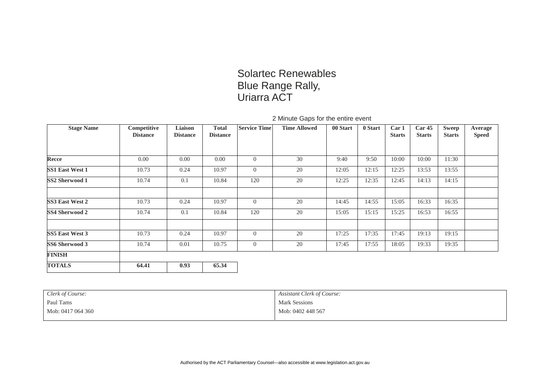## Solartec Renewables Blue Range Rally, Uriarra ACT

### 2 Minute Gaps for the entire event

| <b>Stage Name</b>      | Competitive     | Liaison         | <b>Total</b>    | <b>Service Time</b> | <b>Time Allowed</b> | 00 Start | 0 Start | Car 1         | Car <sub>45</sub> | <b>Sweep</b>  | Average      |
|------------------------|-----------------|-----------------|-----------------|---------------------|---------------------|----------|---------|---------------|-------------------|---------------|--------------|
|                        | <b>Distance</b> | <b>Distance</b> | <b>Distance</b> |                     |                     |          |         | <b>Starts</b> | <b>Starts</b>     | <b>Starts</b> | <b>Speed</b> |
|                        |                 |                 |                 |                     |                     |          |         |               |                   |               |              |
| Recce                  | 0.00            | 0.00            | 0.00            | $\overline{0}$      | 30                  | 9:40     | 9:50    | 10:00         | 10:00             | 11:30         |              |
| <b>SS1 East West 1</b> | 10.73           | 0.24            | 10.97           | $\overline{0}$      | 20                  | 12:05    | 12:15   | 12:25         | 13:53             | 13:55         |              |
| SS2 Sherwood 1         | 10.74           | 0.1             | 10.84           | 120                 | 20                  | 12:25    | 12:35   | 12:45         | 14:13             | 14:15         |              |
|                        |                 |                 |                 |                     |                     |          |         |               |                   |               |              |
| <b>SS3 East West 2</b> | 10.73           | 0.24            | 10.97           | $\overline{0}$      | 20                  | 14:45    | 14:55   | 15:05         | 16:33             | 16:35         |              |
| <b>SS4 Sherwood 2</b>  | 10.74           | 0.1             | 10.84           | 120                 | 20                  | 15:05    | 15:15   | 15:25         | 16:53             | 16:55         |              |
|                        |                 |                 |                 |                     |                     |          |         |               |                   |               |              |
| <b>SS5 East West 3</b> | 10.73           | 0.24            | 10.97           | $\overline{0}$      | 20                  | 17:25    | 17:35   | 17:45         | 19:13             | 19:15         |              |
| SS6 Sherwood 3         | 10.74           | 0.01            | 10.75           | $\overline{0}$      | 20                  | 17:45    | 17:55   | 18:05         | 19:33             | 19:35         |              |
| <b>FINISH</b>          |                 |                 |                 |                     |                     |          |         |               |                   |               |              |
| <b>TOTALS</b>          | 64.41           | 0.93            | 65.34           |                     |                     |          |         |               |                   |               |              |

| Clerk of Course:  | Assistant Clerk of Course: |
|-------------------|----------------------------|
| Paul Tams         | <b>Mark Sessions</b>       |
| Mob: 0417 064 360 | Mob: 0402 448 567          |
|                   |                            |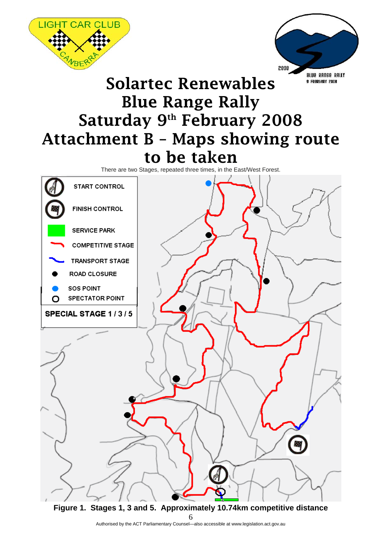

**Figure 1. Stages 1, 3 and 5. Approximately 10.74km competitive distance**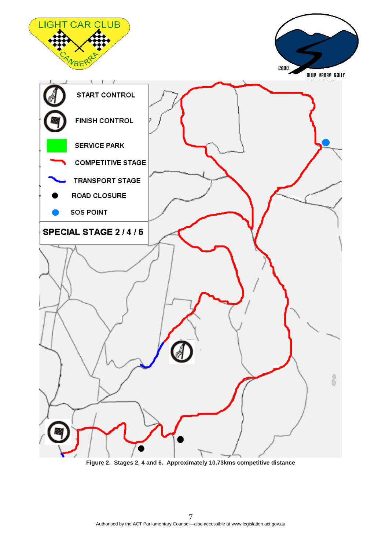

**Figure 2. Stages 2, 4 and 6. Approximately 10.73kms competitive distance**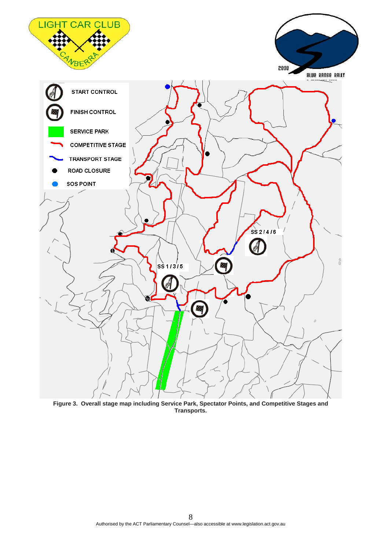

**Figure 3. Overall stage map including Service Park, Spectator Points, and Competitive Stages and Transports.**